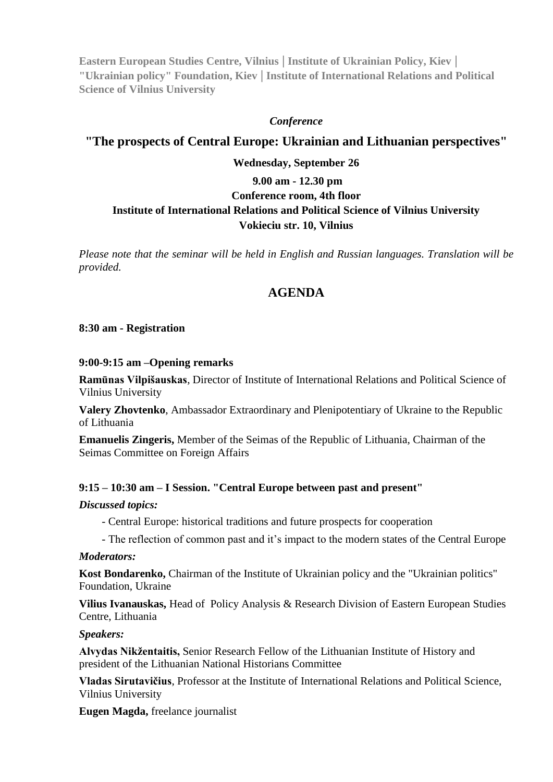**Eastern European Studies Centre, Vilnius | Institute of Ukrainian Policy, Kiev | "Ukrainian policy" Foundation, Kiev | Institute of International Relations and Political Science of Vilnius University**

#### *Conference*

# **"The prospects of Central Europe: Ukrainian and Lithuanian perspectives"**

### **Wednesday, September 26**

# **9.00 am - 12.30 pm Conference room, 4th floor Institute of International Relations and Political Science of Vilnius University Vokieciu str. 10, Vilnius**

*Please note that the seminar will be held in English and Russian languages. Translation will be provided.*

# **AGENDA**

### **8:30 am - Registration**

#### **9:00-9:15 am –Opening remarks**

**Ramūnas Vilpišauskas**, Director of Institute of International Relations and Political Science of Vilnius University

**Valery Zhovtenko**, Ambassador Extraordinary and Plenipotentiary of Ukraine to the Republic of Lithuania

**Emanuelis Zingeris,** Member of the Seimas of the Republic of Lithuania, Chairman of the Seimas Committee on Foreign Affairs

#### **9:15 – 10:30 am – I Session. "Central Europe between past and present"**

#### *Discussed topics:*

- Central Europe: historical traditions and future prospects for cooperation
- The reflection of common past and it's impact to the modern states of the Central Europe

#### *Moderators:*

**Kost Bondarenko,** Chairman of the Institute of Ukrainian policy and the "Ukrainian politics" Foundation, Ukraine

**Vilius Ivanauskas,** Head of Policy Analysis & Research Division of Eastern European Studies Centre, Lithuania

#### *Speakers:*

**Alvydas Nikžentaitis,** Senior Research Fellow of the [Lithuanian Institute of History](http://en.wikipedia.org/wiki/Lithuanian_Institute_of_History) and president of the Lithuanian National Historians Committee

**Vladas Sirutavičius**, Professor at the Institute of International Relations and Political Science, Vilnius University

**Eugen Magda,** freelance journalist